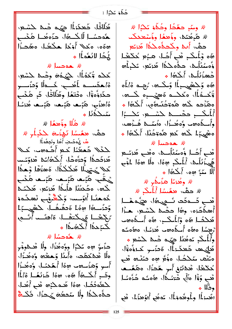دُمَّو مَحْ اِ

هَٰلَاتْلَ. حَعِدُنِلُه حَيْمٍ حَبِمٍ حَسْمٍ. هُوصُط لَّالْحُصُوٰا، حزَّوهُك هُنْصَب 2000، 2000 أَوْكُلْ هِكْتُمَا. 2000. يُحُل للنُ**م**ُه أَل \* lusan. كَمْدُهُ وْكُمُمْلًا، حَيْثُمُ وَصْدْ حَسْمَ. ةُاهضُمْـــدْ أُهُــــنْ، كُـــدلًا وَحَزَّمــــو حكَّاؤُهوّْا، ودُتعُا وهُلَاتْا، ثَمِ هُدْب هُ/هزَّبٍ: هَٰزَمِهِ هَزَمِهِ: هَزَمِعِهِ هُزئِمِ مَمْلِكُلُّلُ ه **& هُلَا وذُهها &** حفْ: همَّسُلْ تَهِزُمِهَ حَجَّرٍ \* ِ هُـ هُـمَـٰحَب*َ أ*َمُا ونُجِعُه *أ*َا لحنْلا حُمعَنَا مُدمِ أُحُدِهِ لَمَلا هُدْكُحِكًا وُحِزُّهِجًا. أَيْحُثُهُ/مُمْ هُدَوِّمُـب لَمْعَنَّ لَهُمْتُهُ ۚ وَالْمَكْنُمُ الْمَسِّيرُ مُمَدٌّ يْ يَقْبَ هَا بِمَعْ الْمَسْتَمْ الْمَقْرَحَ لاْهِ، وَحَٰد*ْنُ*ا هِلَّمُا هُزْعُمْ، هَٰذ*َـٰدِ* جُمع*نُـا اُاوَّـــى*، وَجُكَثَّرَوْبٍ تُعمَدُم; وَدَّستَهَا هَدَا هَدَهُسَا. لَكْتَمِيسِمَ لِمَ برحثاً مــدَّة الـــقتكرة الــقتح لِّكْتَرْجَدُا أَكْدَةُ جُدًا ﴾ 2 Liona & حِنْبُو وه عَجْزًا ووُهِ هُذًا، ولَّا هُجِدُونُو ولًا مُدْكَمُدٍ: وأَمِنًا وَحِمْدُهِ وَوَهُدًا: أُسِرٍ وَهِزُسِيْهِ وَالْأَهْلِمُبَارِ. وَوَهُنْزَا وَكَّبِي أَيْكُسْرَةُ أَوْهِ، وَهُوَا جَزْنُهُمَا وْالْمَارْ لحَقَّهِ صُحًا. 30% هُــمِحْرُه هُــع أُهُــا. حدُّه حَدًّا ولًا مَّحعُدَه حَجَدًا، حَكَدَّةٌ

® ومِمَّدٍ حَ**جَ**ّجًا وحُكُّوْ مُحْدًا ® @ هَرمُكُمْ: وَذُهِمًا وَذَهَبَهِ مَنْهُمَهُ حقْن أبيا وكُحدُّهكمُا هُزِيْم هُه وۡلَّكۡ مَّى أَحُـا وَــرُم كُكَّعۡـا وَّەممُئلَّك. حدُّەككُل هُزِيِّص. مُكربلُو دُه*م*زُنُلُهِ. أَيْدُهُ! \* هَه وَحْقَفِي إِلَّا وُحْكُمْ رُحِمْ وْلَمْلُهِ تُكُكُماً. هككت هُ هيْبٍ هِ كَتْهِ. ەھزْدە ئىلە ھۇۋخىئىمۇر. أىڭلۇا م أَلمُكْبِ حضْبِهِ حَسْبِهِ. يَحْبُرُا وأَكِّلُوهِ وَوَهُدُرُا، وَامَيْكُمْ قُـزْهَا، ه اهْكْلْ كَ كَمْ هُوَوَجْنَا. أَكْرَهَا \* 2 Lusan 2 هْبِ أَحُــا وَۚ٥ممُنُأَسِــهِ. ٥هُبِ هَٰذِيَــمِ فَيْ زُلَمْهِ، أَلَمْكُم جِمَّا، وَلَا هِمَّا لِمْهَمِ ٱلَّا مَمْ وَ مِنْ أَكْتُواْ \* & وقُذْئا هُذَكَٰمٍ & *ه* حقَّ، همَّسُا ٱلْمَكْرِ *ه* هْبُ ضَـهضَتْ شَـهِيمَا. هيْهُمـهْــا أهمكُّذه، وهُ حصْه لحسْم، هذَا هُكْشًا هُو وْٱلْمُكْسِ: هُو ٱسكُوهب بْرَهِمْا وَهُوَ أَسْلَمُوهَا هُزْمًا: وَهُوَ مُ وٱلْمَكْمِ مُعقَدًا كَهُم كَمَمْ حَمْدًا \* هَلِّيهم حَمِدَ أَلَّ هَدَّبِ كَبَرْوُهِ وَلَ مْلْكَ مُكْدًا، وَؤُمُّ وَهُ كُنْتُ مُّعَ ىُكْتَخَا. شَدَائَرْفِي أَمِرٍ هُدَٰ;ا. ەهَٰهُمُــَدُ هُبِ وُوَّا ه)ُّلُ شُبْكاًا، هُوَجَّە خُزُّوجًا . گلا ه اهٌد; أَا وِ أُوهٌدوَ أَا، عَدهُم أَاوَ هزَا، ۚ هُم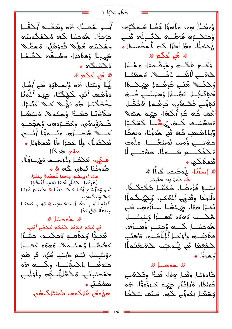حُكْمَوْ حُكِرًا 1

أسبو هٌجسأل هُه وهُجُسِدٍ أَحِدْقُوا دَرْدَزُا. هُودسُا كُلُّهِ وَكَهُكُوسُهِ وهَٰٓڵشَة شَدُّلا قُەوْمُنَى: ەَحْصَٰلا هُيْ أَ وَهَدَّتْ هَ مَهْمَدَّة لَكَـمُـمَّـ  $\bullet$  or in  $\mathcal{L}$ ه مَ**لَّى** مُكَّمْ هَ يُمَلَّا وِمَمْتْا. 6ه وْاحكُوُو قْبِي أَحُـا. ەؤْھُمە أَسَّ كَنْهَكْمَا. كَيْمَ أَلْمُوْلَا وحُدِّكْسًا. ۞ه نَهْبِ كَبِيبٍ كَبَيْتِهِ ا. حكَّاةُنْبَا حَعَّبُ أَوْهِيَّوْ لَا وَسَعْفَ ا كُــهُرُوُّبِهُ٥٠، وكُتَّــرُ٥٥، وَهَجْتَــهِ كَــــــلا هُجـــــزْه. ويُـــوزْلِي أُبَـــو هَكِحُو أَل. ولًا حُجزًا ولًا مُعِكِّفٍ \* مدهون وهُ مِكْلا فْكِي، هُكْشًا وأُفِعُتُ هُيُنَاوُّأًا، هُوَدُمُلْ نَبِيهُم كُنْ لَهُ ﴾ دهو أەبىحمە ووهعا لمعشمه أوكتُترا. (هُرِهُدا، حَدُبُّلِ هُزِمًا تَعْمِيهِ أَوْْحَقَجَا) أَسِرٍ وَهٰذَهُم أَكُلَّا كَلَّا حَنَّتُمْ قُو هُذَهُم هُذِئًا كلا وُسْكُمْهِ كَرْنُهُـا أَسرِ حَمَّــزُا مُّەهَّــة وَمَ وَّ هَٰاسرِ شُهْعَـٰا وسَّعلًا هُجُ غُدًا. 2 Lisan 2 فْعِ خُكْمِ هَجْهُا حَخْكُم خُحْقَبِ أَهُبٍ. مُتبْمَا وَحِمْعے ہَدگیے، حشْـرَا كَعَنْتُهُما وُهِئُما، وَهَوَهِ كَعْشَوْا ەۆسكىسًا، ئىشم كاسىّب ھُنّى، كَي ھُم حمّەھُـــا لمگىمُشــا. وڭـــــ ھُ م ھۆدئېئى، ئىلىۋاباًئىگە ولمۇلمى معَهُ صَبْنِ ههُوهُم مُالحُوها هُوزَالحُمهُو

وُومُنُ أَلَّهُ وَ وَاللَّهُ وَ وَ الْمَسْلَمِ وَ اللَّهُ وَ اللَّهُ وَ وَ وَ وَ وَ وَ وَ وَ وَ وَ و وُحِكْمِيْهِ فَزِهُمْسِهْ لِمَكْسِرِلُهِ هُسِي يُحِيَّماً اللهُ وَوَٰٓءُ الْحَيْمِ الْمُحَدِّدِمِيمَا ﴾  $\circledR$   $\sim$   $\sim$   $\sim$   $\sim$   $\sim$ ؤْكِدِ هُكْدِهِ وِهُبِقُدوُّا. مِمْــٰٓٓا حدْهُبِ لْلصّْحِبِ أُحْسِحٍ ، هُ هَعْمُــا وَحْنُحْلًا مُنَے دَٰمِشُدۂ میکے اُ هْجِاكُرْجُــا. تَهُـــتْزَا وَهِيَّـنَّــــ حُـــة ئُكْفُبُ شَكْلُوهُ وَجِعْتُمْ لِلْهُجَدَا. أَنْدَمَ دُنَهُ مَٰٓ أَكْلَهُۚا ۚ حَيْجِهِ هِمُّهَ لَلْا أَمَّعْمَدُ لِمُتَّقْرِرُ. يُمَكُّرُ مَسْتَمَّعَة وُّالمُلمُتعب دُن هُم هُوزُمُلُّ ويُعجُلُ ەْكككىدە ھُــــەلُما، دەتنــــو لُل أقعككم \* ام إمزُنْل هُوصُصِ كَرِمُّا \* هَٰ حزَّمَوْ وه همَّبِسُا مشبط فُزُّوهُـا، كَحْسُل هَكْتكُـهُا. ولَلْوَجُلِ وقَدِوْبٍ أَلْمَكَبٍ. وَكَيُكُمْ أَ لِكُمْ سِمِهَ الْمَسْلَمِ الْمَعْلَمِينَ مِنْ الْمَسْرَاقِ مِنْ الْمَسْرَاءِ هْكِسْمَة هَهْهُمْ كُهْشُوا وُمُبْيِسُمْ. مْعْدِمُكْمْ لْحُكْمَ وَحِمّْكٍ وْهِكْتُوهِ. عِكْضٍ فَأَدِيْدِ وَأَوْجُدا أَلْمِلَأَهَـٰ: وَا وَسَّبِ الْمَتْعَمَّا مَع فُءَ مِنْ مَنْ الْمَعْنُدَا أؤهنُوهُ أ 2 Lusan 2 حَادِفِهُا وَثَمَلَ هِءُا. هُـزُا وِثَكِرْهُب ضْبُكُل وْاْلِمْنَى حِيْمِ كْدِوْوْقْلْ هَاه وَحْقَدًا اخْوَفُ كُلُهِ. وَٰسْفَ مَكْدُا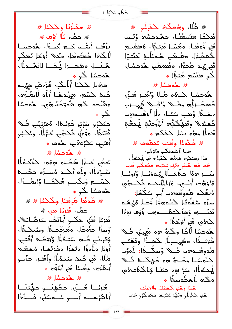حُكَّوْ حُكِّرًا 1

**& هِنْدُرُنَا وِكْلِيْلِ هِ** *®* حفٌ: عُلَّا اُوْمِ *®* بِرَهُدِ: أَمِتَك كَجِمْ كَمِجْرًا، هُوَجِسًا لَّالْحُدُّا حُمْتُوهُا. وكُلا أَوْكُل تُعكُّر هَمِنُــا، وهَجـــزُا هُجُــا لِلنُعُــولُمْ!، هُهَدْمًا لَكُنْ \* َ حَوْنًا ۖ كَلَاعًا ٱلْمُكْرِ ۚ فُزُّوهَٰ ۖ حَيْثَ صْهِ حَسْمٍ. هِيَّمِهْا أَلَمُ لَلْمُـزْنِهِ. ەھْزْحە ݣە ھْەزْخُشَەۋە ھْەجس لگو په حَكْبُرِ مُبْتٍ خُتِسُلًا. هُعَنِّهُم شَلا فَتَىٰدًا، وَوُّوْ، شَكْرُهْبِ كُـَّ ُاُا، وكَــْـبُر أُهْرَمِ كَلَّاتِمْهِ. هُدَفَ \* A Lisair A مُعمَٰى كَمِنْزَا هَكَــزه «هَهْ لِكَيْكَــهُ لِمَا مَّــ;ْه)اً. وأَه ٱلْمَــه هُمــاَه حضَــه لِكْشْكُمْ وُمَكْتُبٍ هَٰكُكُمَا وُٱمْكُنَّا. ـمله مسلم الله ش ه هُوهُا هُرِهُنا وِكُكْنا *ه ه* حفٌ: هُزِمًا هن ﴿ هُٰ;يُا هُنِّي حكَّسِ ٱلْمُكَّبِ مَمْاهُمَّايْلاً : وُمِيرًا دِرْوَهْا. وَهُرْكُحِيرًا وِمُبْكِيرًا. وۡتَبۡسُٰ حُـِ۞ مِّتَـٰهُۢ أَا وَٰاٰوَحَـٰد أَهۡتـٰہٖ؞ أَوْمًا وَأُووُّا وَتَعَزَّا وَجَزْنُعُـا، وَجَعَلَـلا هُلُا، هُم ضُم مِّتهُ أَا وأُهَّ: حزَّب أَيْحَدْهِن وهُذِيَا هُمْ أَيَاؤُهِ \* A Lioca A ِ هُٰٓ: هُـــَنَّىٰ: حَكَمِنُـــبِ حَمَّـٰتَسْــا أَمْاهَةٍ هَــــو أُمِــــو مُـــومَّمْكُو دُمُّ أَوْالُ

@ هُلَا: وهَ حِكْةِ حَدَّدِكُم @ كَعْلَاهُا هِنُمْهُنُـاً. حَمْـُوصْنُو وُنَّـٰب هْمِ وَْوِهُـا. وَهُشَا هُتِـٰهِٛا. وَهِمَّــِمِ كْهِجْبْزَا. وهُمِعَّى هُـومُأْمِ كَنُتبْرَا هُم یُده مِهْ مِهْمَمَ مِنْ هُدَمِنَا. وَهُمَ مِنْ مِهْ لكو هنَّسْم هُتبًا ﴾ A Lisaa A هُوَجِسًا لِحَدِوَّةِ وَحُلًا وَٱهْدِ هُـنَّى كَعِمْكَ فِي وَشَيْدًا وُأَيْسِيلًا فَهِيءَب ەھْكْل ۋەيب مِئْسًا. دْلَا أُذْقْسەھت كَعِنُه لا وِتَعِيثُكُمُ ٱلْمَوْدِيْكِ لَيَحِيثُكِمْ هُدماُل وهُو تَسْلِ لِلْمُلَامِ \* *®* حُذُّه اُل وهُن، مُدهَّدت *®* هُٰٓئِمَا وَۖمُعۡحَكَبِ مَكۡبَوۡبَ.<br>حزَٰا وَحَكَـٰہُٖہ فَـٰٓءَهُن حَـٰٓءَلُہ مَّی لَحَـُّمَلُا. هَدَ دُهِ هُنلُو هَكُمْ: كَثَبْتِهِ حَقَّقَكُبُرِ هُنِت مادُوْرَ الْمَسْمَدِينَ لِلْمَسْكَمَاهِ وَادْسَامِهِ وَالْمَسْمَدِينَ مِنْ الْمَسْمَدِينَ مِنْ الْمَ كَاوْهُد أَنُسْمٍ، وْالْمَلْأَسْدِ شُكْرِهُمْ ەْيغَك ھەوھّەھ أىر مَمْتُحْمَا: مِيَرُهِ مِثْقَوْمًا كَنُوهُ وَوَا وَجُبَارَ وَلِكُمْ وَ لِهُ مِنْ أَوْكُمًا \* هُدَمَنَا لَاحًا وِكْيُّ وِهِ هُتِيَ ثَــلا حْتِمُكُلُّ هِهْمِبِكُمْ كَحَدٌّا وَكَقْبُ هُدوهُــده تَــدْ وْسِتُـْـدًا: لَمْوَّت لمأهسًا وضَعةً وه ضُهكُلُّهُ شَلَا يُحدُّماً! ۚ مَمْ ۚ وه حِنْنًا وَٰٓ الْكُلَّةِ وَٰهُ وَ ەڭ ئىمئەممكا \* هَمِلْم وهَبْ لِحْقِظَمْنَا وَلَاؤِكْلُنَا. هُبْ لِلذَّبِلُرِ وَنَهَٰ: نَكْبُرُ هَفُوكُبُرٍ هُٰ: ف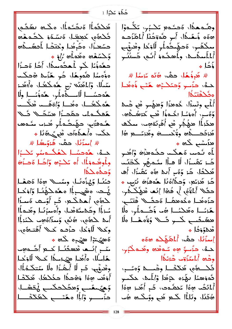مَحْدَمُاْ هَىحُمْاْك مِكْتِ بِهَمْمُو ئَكْتُونْ كَعِيقَانَ وَيَسْوَوْ لِكَشُوهُمْ حمّمدُّا، وكَرِهُا وِكْتِصًا لِمُحمَّدِAُو حَدَّدُمُّا جُدِ أَحْدُمِيمًا، أَجًا هَدَٰا ەۋْەممًا ھُەوھُا، دُو ھُنَّى\ ۞دڭم مَعْمَلًا، وْالْمُعَنَّلَا مْنْ هُدْكُتُكْ. هَأَاتُكْمْ حدَدسُـــــا لَّامـــــدُّه ـاُبِن حَدَّوُسُـــا وِلَٰا هُهكْعُبان وهُبار وُاوْهُــب هْتُكــب هُهِدُولِ دِهُجِيزُا هِمَجُلًا ضُلا هُـه؋ڹٞؠ؞ حهُمحُـهڶُڔ هُـڹٮ منُـهمه هكم أن هي من الله عن الله عن الله عن الله عن الله عن الله عن الله عن الله عن الله عن الله عن الله عن & إمعزَّنُل: حقَّ: فَزوَّمِعَهَل & حَدًّا: حَدَّدتُكُمْ حَمَيْكَ عَمْرٍ كَحَدٍّ ا ولْمُوهَّدوْلُمْلْ أَو مُكْبَرْتِهِ وَٱحْسَلَ وَصِيَرْتِهِ وحدْهكمُ دْنُنَا وَلِخُونُـا. ومُمَــلا ۞هُا هَعفَـا يُصد وهُي الْمُهْدَدُونَا وَاوْحُداً لِهُ مِنْ أَحْمَدُهِ وَ أَوْسِعَا وَسَدَا سُنْهَا وَحَكِمْتُوْهَداً: وأُوْمِمُ نُسا وِهَٰدِهَاْ أَمِكْ لِحَقَّقٍ، هُنَّهِ وَمِعَلَّاهُ هِمِ لَحْمَٰزَةً إِلَّا وكِلا لُلُؤْكُلُ: حزْمِد كَمِلا أُفْتِيرُونَ. • ماگ مهریزه ابتنرشهاه مَنَّسِ إِنَّــم مُعمَّنَــل كَنْــع أَجَّــدهما هَاسُلًا: ه}ْهُما هيُدمدُّا حُمِلاً لِلْهُمَا الْمَ وقْدِفْهِ : ثُمّ لًا أَحْشُوًّا ولًا مَنتكَـدُلًا. أُوْهَٰد هِوَٰٓا وْهْحِدًّا حِخْحَمًا. مُحْكَضًا وَحِيَى مَمَـــ وَحدَّدَكَــــ فَي تَفْشَــا. 

وهُــمماًا، ەُحــُـمو كــــرُ، كَتَــموْا ههُه وُمِعُمَاًا: أَمِرٍ هُوَدَخُلًا أَاهَٰٓ وَصَد مىڭگىر. ەَدېْىشەلْر لَّاوْىُدا وەدۇب ٱلملَّمْسَمَاءِ وِلَمَعْشَاءِ ٱلَـَّـٰى شَمْلُلُـٰرِ ۆكلە ، هُروُهُا: حقَّ: **هُ** مُنهُ الله هــةْ، حزُّسو وُحمّدٌ إِنَّ هَيْبٍ وَّهِ هُــا وثَكفَتِيْدُا ٱلْمَعِ وِنْسَأَلَ: خُوهدًا وَهؤُمنِ هُعِ شَيْءً وَهُب، أُوفِهُ الْكُوفُ أَهْبِ كَتَرْهُكُوهِ. هَكُرْ}ًا هَهُكُمْ هُمْ أُكْرِئَةهِ مَسْكُف هُدْكُحِـــدُه وَوُّكْمِـــة وهُدْكَـــع هُا مداً مشمع لكه \* لَمْ شَمِيبَ هُـعَكَـيَّ صَنُّمَعَنْ; ثَمْ وُاهْبِ كَــز مُكَسـُرًا. لًا هــال منْـــمرفَهر لكـْتَـنَــد هَٰٓدُهُا: شَرْ وَٰهُمِ أَيه هُوَ عَقَيْزًا: أَف كُ: هُدْنُعْ: وُحِكَّاهُ لَا هُدْهَةُ لَا لَهُ عَلَيْهِ حثَلا أَءُوَّهُ, أَ، فُشَا إِنُم شَهْكُـدُبٍ. دَوْهُــا مِنْدههُــا هُـدَـُــلا فْتَـُـبِ. ھىمَمَـــــ كُــــو شَــــلا وُقُمَـمَّـــا مَلَّا أَهْدَمَ وَحُلْ \* إِسْتُرُا، حَقٌّ، أَلْمَٰهُكُمْ 300 هــةٌ، حزَّمــوٌ ٥٥ سُـهقده وهُــهكْرُب، ودُّه أَلْمَنْزَوْبِ دْبْنُكُمْ ثُكِّدُو هُكْثُمًا وضُبِّط وُهِيْدٍ. ثَه;همَا بهُ;ه جَرْهُا وْالْماه: حكَّسِ اْلْمَكُ وَوَا مُحصَّود، كُم أَهُدَ وَوَاْ هُكْنُا. وِنَالُمَا لَحْمِ هُبِي وَوُحْدِهِ هُب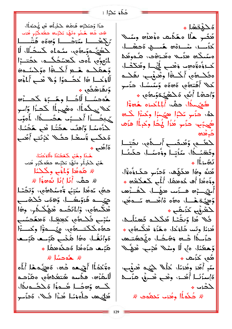دَٰٓا وۡحَكُمِۡ هَٰٓءَهُ ۚ حَكَىٰٓاُ ۚ هَٰى مُحَمَّاًا. الَه ص هُملُو مَلَّهُمْ مُكْتِمِ حَقَقَائِكِمْ هُمْتَ رُجِّعْبِ الْمُتِرْمِينَ وَلِيَوْهُ وَشَيْئَ الْمُسْتَدَمَّةِ وَمِنْ لِهُمْتَ وَمِعْهُمْ وَمُعَادِدٍ مِنْ اللَّهُ إِلَّا اللَّهُ مِنْ اللَّهُ مِنْ اللَّهُ مِنْ اللَّهُ م لمُوْوَى لِمُوتَ لَاهْتَنْجُلُسُو، هَجَّتَ أَل وُهِقَلِهِ هُـِمَ أَيْحُــةُ ا هُوَلَحِيئَــهِ لَّاوْكُــا 16ْ كُحُــوْا وُلا شَــو ٱلْمُوْ **ِ رَمُنهُ شَيْءِ ﴾** هُوحِسُكُ لَّاحُكُ وِهُكِّوْ كُحِكْرُهِ. بمالغ انحكر المبرهة والمصر لاملا جُبِجُداً أَحِسِبَ حَجَمِدِ الْمَوَّدِ لِّدُّوسُا وَاقِتُ حَكْتُا هُوَ هَكْتَا. ەَحكّىپ تُسعْدا حشَلا كْبُنَّتِي أُهُب ة/مٌب \* هَمِنًا وهَبْ كَعْعَمُنْا وَلَاوْحُثْنَا. هَبْ لِلذِّالَٰرِ ۚ هَٰنَىٰٓ ۚ مَلْأَمِنَ حَقَّهُكُبُرٍ هُنَا ® هَٰدَهُا وُٓاؤُب وكُـْــُـُّا ﴾ @ حقُّ. أَنُا إِنَا نُوهوُا @ حەكى مەھدا مىتېپ ۋەمىكلەۋە، ۆتكىتىل كَيْ هُ وَمُحَمَّداً، وُ«َهُ مُكْرُمْت هْتُدْهُو، وْالْمُكْسُمْ هْدْكْلُمْرْ. وْهْا مُبْسٍ ثَكْرُهُ) كَعِقِدًا، هُمْهَمْسَى حَدُّه كُكّْتَـَـْدُهُمْ: ﴿ وَيُحْسَنُواْ وَكُمْـَـٰٓرَا هُواتُغًا. وهَٰا هُنْبٍ هَٰٓيُتِ هُٰٓيَتِ هَّزَمِ حَزَّوهُا وَحَدَّوهِما \* 2 Lisain 2 هِلْمُ الْمُصْرِبَةِ ۚ وَ مَصْرَةٍ ۚ الْمَصْرَةِ مِنْ الْمَصَرَةِ مِنْ الْمَصَرَةِ مِنْ الْمَصَرَةِ و لَّامِكْزُهِ، هِكَمِيهِ هُتِعُكِمُهُم وَكُنْزَهِهِ لْكُتْرُهُ وَهُجُبًا هُتُورًا هَٰكُمُومًا. هَلِي هم حاهُوْسًا هُـزْا شَـلاً: هُتَزَىــو

هَ لَهُتَهُا \* هُدًىبِ هِلْمَا هِ هُمُّىِكَ هُوُهَيْرَةٍ وِمُّىلًا كَلَمْـــا: مْــاهْ۞ هُمــــــــــه هُحــڤـــا: ەمئىڭ ھۇسلا ەكداۋە، ھُەوكْكا كَمَاوُهُوَهُوهِ وَهُمَى لَيْنَ الْمَحْكَمَـا. ەئكىۋە، أىڭىۋا وئىرۇپ، بەكم لَّكْلاً أُكْتَرْهُمْ وَهُمَّهُ وَمُنْسَلِّدٍ حَزْمِ هُمَيْ الْمَسْرَاءِ مِنْ الْمَسْرَدِ وَأَوْلَى الْمُسْرَدَةُ الْمَسْرَدَةُ الْمَسْرَدَةُ الْمَسْرَدَة حةْ: حزَّىبِ مُحْبًا هِيُمبُرَا وَحُمْرًا كُلِّهِ هُيءٌبِ: حزَّىبِ هُذُا يُحُلُّ وِكَبِيلًا هِزَهِ حُرمُده لكعُّـــمِ وَهُـنصَّـــعِ *أَنــــدُّمِ.. نحَّت*ِــا وكَعْمُــدًا. مَمُرُتِــا وِوُّەممُــا. دَكَّىنُــا رَهُ - أَا هَٰنُه وهُا هكُهُڡٌ، هُدَّس حكْدُوُّهَۊُّا. وِذُهِ هَٰذَا أَفَّ يُدْهِدُمَا: أَلَمْ يَكْمَكُنَّذُهُ \* أَسْلَى ثَمَّ هُ أَمِينَ مِدْهُ الْمُ حَدُّثَ هُ أَمْسَنُوهُ وَهِيَّة هُـــا، ٥٥ُ٥ هُ/هُـــ ٥ ـَــهقَرْ مِهَا: لِكُمْرُوْمٍ كُنُمْكَمٍ \* ثَلا هُا وۡنتَّسۡا مَٰكُكُ ۚ فَعۡنُاۡكُمۡ؛ هُزِمًا وِيَبِ جَاوَيْدا. مِعْزُو هُنْدُوهُ و حَبَّىــدًا خَـــره وَرَهُ مــُـــا، ولَمَحمَّتــمِ وَّحْكَمًا: ٥لِ لَمْ وَسْلاً مُدْسٍ: مُدَيْسًا هُه، كُنُمِه، سِّم أَهَٰذٍ وهُذِيمًا. كُلُّما لَكَنِيهِ هُدفُهِبٍ: هْ)مِعزَّبُ أَهَد: وقب قُصرتُي هِزُمِكُمْ لكشامه ِ هَ حُثُم**اُ! وهُزم مُدهَده ه**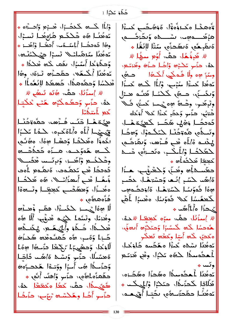وْݣَالْمَ هَدْدَيْنَ هُوءُ وَأَدَّاهُ ﴾ مُوهُنا هُو ضَكْخُم هُرُوهُما نَسبًا. وهُا ضُعضُا أَبْلَمْــدُ ﴾ أُعهُــا وْاهُـــز \* مُعطُل مُعطَمَلاتِ لَسِبْلِ صَلَحِكَ مِنْ مِنْ حَمَدَتَهِ. وَحِكَاوَكُمْ أَمَّمَءُ!. بِفَعِي كُلُّهِ مُحْكُمًا \* مُوهُدًا أَيَكْتَمُلا، حَجَّدَ أَبْوَا، وَوَّا مْحِسًا وَحِعْوَهِمْا. خَمِعَهِ لِلسُّوَلُا \* *®* إمبزُنُل حفٌ هُ مُهُ لَيهُم هُ هةَ: دَنُسٍ وُدهَـٰدكُـْ;ه هَنْبِ كَكَيْنِـل كع أيتمثل هيَّ هُما حَيِّ هُـزْهَ، حَقَّهْ وَحُنْها أبْكَ لَمْكَ ، وبكَ هَٰذَا هَ أَلَمَ لَكِنَّ الْمَرْضَىٰ بِكُوذًا وَهُكْشًا وُحِشًا هِوَاْ، وَهُنَّعَ لْكْتُمْ هُوَجْتُو، هَنُّو كُمْلَاكْتُمْ وڭلىگىغ ۋاقىلىز: ۆبرئىسە قىقىسلا صَّحَدُ أَهْبِ مُحَمَّدَةٍ وَ مَحْدَمٍ الْمَحْدِ فُهُــا هُــع أَمعهُ: 1⁄2 . 6ه هَــدُــا ەھْدُرا، ۆھھكىب كېيىت جار ئەۋا ೬ૌ∂ထက္စံ⊘⊹ لَّا هِهْ إِنِّهِ حَكَمَةٌ! هِمَّ وَهُدَرُه وهُذِيَا. وِيْبَعُها كَجِيْهِ هُدِؤْبِي. أَلَمْ هُءُ هْلِمَا، حُكْمُو وِأَلِي هُـمْ. لِمَكْسَمُ كُهْدُمْ وَهُوءٍ. ۞ه كُمِلُوهُم هَدْءُ۞ لَّاوْكُلْ وَحِفْهِجُ لِمَجْكُلِ حَنَّصُوا وَوَمَا ەَھسَّىلًا، ھزَىرِ وَيسْطِ ہَ/ھُــد كَاصَّــا وُحِزْمِكُمُ اهُمِ أَمِيرُا ووُتِيهَا هَجْجِيرُهِ فِي حَقَّعَۃُه اهُم، حنَّى وَّاهَدُ أَنَّه \* هُمَيْ الْمَعْدَ لَحْمًا وَكَعَنْهُمْ حَدًّا. حَنُّبِ أَحُـا وهَكَشَـه يُهَبِّ حَنَّحُـا

وْهِ مِكْتَارِ مَحْتَرَوْهُ وَوْلَى هُوْ مُحَكَّسَ لَمَنْ وَلَ هُ لِقُنَّ النَّبُ ، وَبَعضَهُ مَعْوَلَهُ . @ هُدِوُهُا: حَقَّ: أُوُم مَنْهُا @ حةٌ: حزَّىبِ مَكْبَرَهِ وَأَحُلَ حِبُّرَهُ وَهُزَمِّيهِ: وَسَنَّ وِهِ وَلَا شَمِكَىٰ أَكْتُوا مَعْ صَبْحَ عْدَهُا كُمِنْزَا مُبْنِيٍّ. وْݣَالْ كْــْدْ كُمْزَا وَبِنَيْتَهِ، حَـِيهَ، كَلِّيْتَا هُتُـه هَــْزَل ولْبِهْدِ. وَكْتُ 90 يْهِمْ كَمْتُو قُـْلًا شْتِبُ: شَنُسٍ وَحَضٍّ كَنْتَزَا كَلاَ أَوْكَلُهُ أَحْمَدُ الْمَوْلِينَ مُمَكَّبَ لَمَحْدَثَ مَقْسَلَات وِنُسِمُّورٍ هُءُوَدُنَا لِكَكُووْا. وُهوَّا لِمِنْسِم ةَالَمَاه هُبِ فُـنْهم، وَبِعَٰٓزِيْتِمِ للكَلائُما وْٱلْمَكْسِ: وتُصبَرْتُو ضُبْط محمقا مُحجَدُه أو \* حكَمِسِكِلُوهِ وِهُنِّي وَكِحْرَوْسٍ، حِيزًا ةَأْهَبَ لَكْتُمْ إِنَّـمٍ وَحِشْتِهْـاً: حَضَّمْ 10% ثُمَوُنيًا لِمُتَنِّهُا: 16وَحَدُّدُوم لْكَعْفُسُا كَلا ثُوَرِّسُاً. وقُسْرًا لِمُثْلِ أَيْحِدُ الْأَمْلَاشِينَ هَ صَمالِ كَمِن كَسَبُوا وَصَلَّةٍ مِنْ أَنْهُ فَيْ: وكحق لكاه أمتا وكعثاه تعكو مُوهُلًا بِشَمْو يُحِبّْلُ وَهُكْسُو كَاوْكُلْ: أهدُّه سمًّا لحدَّة م كثرًا، وهُم هُنْ مُ ولُبْعَدِ ﴾ مُوهُلًا أَحدُّومِهِ أَوهُدَٰ; وَهُدَّرَةٌ هَٰلَاتا ێٚڂۘۥؙۿؙٳ. حمّدٓ؛ وۡالِحِيحُــٰ \* مصروّة ألته به مؤسّدته من النه من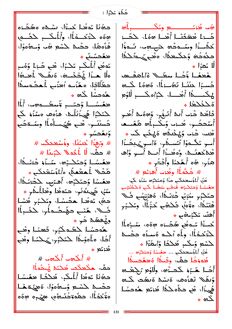## دُمُو مَبْ ا

دەُلا ئەھُل ئىنْزا، بىشلە ەھَكْزە ہوؤہ لِمُتَكَسَّمُاً!، وِٱلْمِكْسِمِ لِكَسَّمِهِ قُزُّەهُا، حضُّم حمْمِ هُ- وُ-30وُّا، همُحسَّبٌ \* حْمَقُ ٱلْمَكْمِ حَكْبًا. هُم كَخلِ وَمَصْحِ وَلَا هُـذًا يُتَخْبِـرَهُ، هُنفَــلا لِمَحْدَهُ حعَكَلاتِلِ: مِمّْزُجِم أَهزَّبِ لِمُعشَوِيهِ ا هُه دسُل لَاره \* هِمُسُلِّ وَحِمْسٍ وَجِمْعَ دِهِ وَالْمُسْلِمِينَ إِلَيْهِ لِكَمْلَ إِلَى خُلَامًا، قَوُّْوهَا وَمُنْزُوْ لَكُمْ صُمْلُس، هُبِ هَٰيُمِسالُهِ أَا وَمَّــةَصَٰعِ وَتَقْصِيُوا ﴾ @ ورُهزًا كَعِينًا. ووُسْعِدِكَ @ *ه* حفّ. لُا غُدُه لا حبَنُا ه همُسُا وَحِمْدَهِ مَنْ وَجَسَنُوا وَحَتَّمَا. هُصْلا أَحْشُعِكُمْ هُٰاٰؤُمُّشْنَكْبٍ \* همَّسُل وَحَمَلاَهِ». أَهِيَّمِها لِلصَّرْسُلُّا. مَّنُى كَيْبَدُّسُ، كَمَّوَهُا وِهْلِلُمْكُرِ ۞ دەُ ، مُعمَّل ھصَّىمًا، ومَكْبُر مَّصْل ثَـــلا، ـهُـْبِ حهُـحـُــولُم. ـلكَــبِلُه  $\rightarrow$  ویُدهَه دُر پ حَدْمَــا للطّـدلكُبْرِ. كَعمُـا وقْب أَحَلَّ مِأْوَمِّمَُا كَتَكْبُرٍ. جَكْسًا وقْب هُذِيكُمْ \* ه ألاهم ألاهم و حفْ: هكعكْف مُحْكَمْ يُحِشُواُل دەُنا غەھْا ٱلْمَكْنِ هَٰكَمَا هِمَْسُا حضُبِهِ لِمَسْعِرٍ وُسِعَةً هُوَا ۚ هُ هَيْ قَصْلِهِ ووُّكْمُأَا، حَقَّوتْصَلَّمْهُم هِيْءِهِ هِوَّهِ

هُ مَنْ يَسْمَعُ وَكُمْسَمْعَ إِلَى كَــزا مْعْمَدْنَـا أَمْـا هِهَا. حَكَــز كَكُفْتُوا وَمَحْدَدُهُ حَرْبِ هِبْ شُدْوَا حدُمتُه وُحكُمعدًا، وهُم يُحوَّدُهُا لُا عُڪرُا ﴾ هَعهُا ذُكُّا معَكَلاً هُالمفَعَّدِ دَّسبُرا حَسَّل نَهْ بَالْ: مَهومًا حَــه لِمِكْمِـــــدًا أُهُـــــا. كِرَاهِكْــــــرِ لَٰاوُمِ كمحكككا . ثْلَاهُكُمْ شَٰٓءَٮ أَمَٰلُمْ أَنُّرِؤُوا وَالْمُعَامِّ أَهْلِ ٱَمۡحَدُــُـُـُ ۚ هَــٰٓءَٮ وُٓـدُــٰٓـٰٓءِ أَاه هَٰمُـــَــَ ا ھْلىر، خْزَى وَلِخْلِكُاهِ وَلِجَمْعِ لَكَ \* أَسِرِ مُكْتَوْا أَمُسْكُرٍ. ݣَاسْرِ كَيْخَتْرَا قُدْهَ كَمْعَدُهُ: وَّەهُدْ أَلْسَدْ أُسِيدٍ وُلَق هِ أَبِن هُو أَهْدَا وِأَدْأَبِ \* @ حُدُّهُ أُل وهُنو، أَهزْمِ @ هُنِّي أَلمُؤْسِعِدِكَبِ دِزًّا وَحَكِّرُهِ سُنَّوْ كَبِ مسَّسَا وَحَكَّرُه فَرَمَّے مَمَّا کَے مَکنَّتَہے حَكْبُر مُبْبُ شُبْكًا، هَعَنِهُب شَلا فْتَىْݣَا، ەۋُەل ئىلاھْى كَتْ;اُا، وكْلْجُر أَهنُد مُكْبُرةُ بِ \* كُمِيْزًا مُبْدِهُمْ هُكْزِهِ وِهَوْهِ: مَمْبِوُهِ أَلَ لِحُبُكُمُلًا. ولَمَ أَبْكِ هُمِيزُه حَضْبِهِ لِكَسْعِ وُلِكْسٍ هَٰلِكُمْ وُالْحُبَّا \* هُنِّي ٱلمُفْسِعِدِكَبِي ... هِمُسُلِّ وُحِبْكَةٍ » ... أَهُدوَهُا حَتَّ. وِثَبْهُا وَهَهُدَ الْمُسَلَّا أُحُط هَجَرف كُحدَْرُهِ، وِلْأَوُهِ رَجِحْتَ بِهِ ۇيغَلا نْفزُەھ، ەْيشا ەْيغە شە فَيْءُلْ هُمْ حَدُّهُ حَذَٰمًا هُنْكُمْ هُوَجِسًا  $\bullet$  on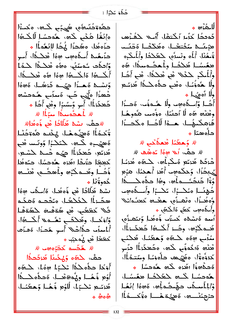حقَّة وَحُسِّيهُ مِنْ مِهْمِيمٌ مِنْ الْمَسْتَرَامَ مَكْمَنَّرَا هِ اِنْغَا هُنْمٍ خُلْهِ، حَدْمِسًا لِّلْكُلُّهَا حزَّههُا، وهُجرُّا لِمُجُا لِإِنْعُهِ أَلْ \* دَّمْعُمْ أَمْـكُاهِ وَا قُطْـكُا: أُمـو وَّاحِكُم شَمِيْتُ: هِ هُوَ مُحِلْمُ الْحَلُّومُ أَحْسَنُهُمْ وَاحْسَنُهُمْ رَوْءًا رَوْهِ هُكَسُمًا. أَمْعَامُ مَسْرًا حَيْثَ هُرْهُمَا. وَأَمْعَامَ صَنْدَا وَلَٰہُم صَنْدہُ صَنَّد كَعِدَدُاً. أَسِ وَسَيْبُوا وَهُو أَجَا \* A ILI KUSAL A ِ هِجِعْ. *بِيْنِ*مْ هَكْلِاجُلْ هُ**ي وَ**وَهُدِلِهِ ﴾ وَّكْدُاْ أَهِيَّدْهُا لِكْسَدَ هُوَوَدُلُّا ەھھىم دىكى ئىلگىزا ۋوئىسە ئىس هُنكُمْ: ضَعِكْنَالًا ضَهُمْ شَمْلًا لِكَسْمَ. كَعِعَةِ حَتَّمْدًا اهْزِه هُوَجِسًا، حَدَّهُما ؤُحُــا وهُـــمكْرُه ولُمهجَّــم، هُنْـــه ڲ۫ڡۅۊؙٛ*ڷ*ٳ<br>؞ ىشد مَكْلاَحُل هُم ذُوهُكِل: هَا كُفْ وَوَا ھجُـزِلُم لکلکھُـل مَحْجـو ہُھکُـو ثُلا كَعْعَمُ، مْم هُةفْمَه لِلْهُةفُـا وَّاوْكُما، وِهَٰكِكَبِ مْعْسُمْلا أَكْسُرُهَا. أُمامِماًو حكَّافُكا أُسو هُجِزًا، هَجْزَه كَعْتَقَا مُو لُهُ دَبِّب \* a Lorofind Line حڤ. ك%ه وُلِمُسُّل هُزِكُحِمَّا أُوْكُل حِذْهِكْمَا يْكْبَرْ مِهْمْ. حْجَة أُوُم ذُهُــا وِيُوقوهُــا وَحِدْوكَــدُا هُزئِكُم نَكْبَرُا، لُلوُم وُجُبَا وَجِعَدُا،  $\bullet$  gog

لْلِيكُنُرُهِ ﴾ كَوْدَهُا كَرَّىا رُكْتِهْا. أَرْسِي بِكَفَزْهَا ھۇسَـــى مَمُتھْــا وَهُكْــُـا وَجَسَــ وُّمعُنْا. أَلَمْه وِنْسِلُّهِ حَكَمَحْكُمْ وِأَلْمَحْمِهِ همّْسُما هُكْشًا وِلْمِحْسَمِيهِ وَهُ وٱلۡتُدۡ حَـٰٓكَـٰا ۚ مَٰٓى مُحَـٰمٗاً: ۚ مَٰٓى ٱۡصَٰٓا وِلَا حَدَوْسًا: وقب حدَّهكمَا هَٰزَسُع  $\cdot \downarrow \circ \circ \circ \downarrow$ أُحُط وَّاسِكُوهِب وِلَا حَسَوْبٌ: هَجِدًا وقُنْتُه هُه لَٰا أَحنُنَا. هؤْهمت هُفوجُنا فَزِهِكُنَّجُكِلَّا. بِعَنْدَا لَّاجُكِلَّ مَكْحَنُزًا حافْهما \* **& وُهِجَٰنَا مُهِجَنِّبٍ &** ه حقَّ *أما ه*هُ *أه هُمو ه* شَرْكُمْ هُزْمُعْ ةَمْكْرِلُمْهِ، كَمْهُو هُزْسُلْ حْبِحُزًا، وَحِكْمِهِم أَهْزِ أَحْمَدُا، هَزْم وُوْٓا جَبِجَيْهِ وَهُوَ، وهُا حِدُّهِ جَبَالُهُ جَبَارًا حُمِيسًا مِنْكِسُرًا. يَكِسُرًا وَأَسْلَمُوهَب وَّەھُدُرًا، وَيُعَدُّى هِعْدِهِ كَعِيشَهُ/مْلا وأمكَّدوه كَعَمْ وَالْحُقِّ \* اُمم هَ سُلمه گمتُ و وَهُما وَسَعِدُو هُــوكُرْهِ. وِحُــز أَكْـــرهُ احْمِكْــزِلْمَ ا مُلْمِ 500 كَلْمَاه وُحْكُمُاً. هَٰكُمُ هْلُه هَائُدُوُّبِ گُهِ: ٥كَعِكَرْلًا تِنُسِ كْدِوْهْ وْلْ: هِمْكِيهِه حِلْهِ وَسُلَّهِ وَسُتَـهُ لَمَا: وَحِدَّهُوَ الْهَٰزِهِ كُلِّهِ هُوَجِسًا ﴾ هُوصُط كُنْ حَكَمْكُمْ هُمُشْدًا. وْ} أَمْسِكُ حِكْمَتُ أَنْ ذَيْ كَامَ الْمُا الْمُسْتَدَّةِ وَاسْتَمْتَقَرْبُهُ فَيَسْتَسْتَدَمَّةُ ا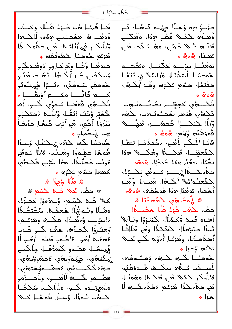هُــا كَاسُـا هُــ كَــزا هُــُلاً. ومُحــتُو ذُهِ هُــا هُا هِمُحِمَّىبِ هِهُهِ: لَاجْــهُا وْ}لْمِكْمِ فَيْءُنُاسُكِ، مْبِ حِكْمُكُمْ! هُزِيْعِ هُوَجِسًا لِحَعْدَفُتُو ﴾ حمّەهُـا وَّحُـا وكوڭـاوُر ەَوهَــەڭزر وۡمَحۡكَمَٰبِ حَٰٓۓ ٱۡكُـٰدُۥ! ۚ تَـٰهَـٰت مَّثَـٰب مِنْعَصْفِ مِنْتَقَاضُ وَنُسَبِرًا ضَيْئَةَ ثُو لحصم مُاتْــا مكـــم أوُتمْــا \* صُّدْحَةً، هُدْهُمْ لَرَ سُووُى لَكْسِرٍ ۚ أَف ِكْعُتِا وَحْنُد إِنْغُـا. وْ*ا*لْمــط ەَحىّـكَـبْر مَنۡوَٰٓوَا أَحُمۡ، ۚ هَٰؠ أَنۡءَٖٮ حُمهُـا حزَّمحُـاْ  $\bullet$  جَادَهُم کَن هُ عِنْدَ الْمُدَىٰ مِنْ الْمُحَمَّدُ. وَمِعْدًا هُّدهْا حجُّدؤُا وهُمنُـــٰ. ةُالْمَا صُدهُم ەُولَىد كُحزَّىمُّا. دەُا مُبْنِى شَكْلَةُ م مُعِيقا حدُه مَكْرُه \* **& جُيًّا وَجْهَ اُلْهِ** ه حقٌّ، كَمِلا صُمَّ لَكْتُمْ \* كَمِلًا ضُبْطٍ لِمَسْعٍ. وُسْعَةُهُوا يُحِسَّرْ!. ههُــُلا وِئـُـمِرْقُلُا ـهْعِـدْــِمْ. مَمْحُتحُــدُا كَامِمَ سِ وَوَهُدَٰۥ مِكْمُ وَهَٰٓزَسُـمْ. وَهلَمِوْۤا كُحِمُّوهَ، هفَهَ كُمْرٍ ضُوْب كَاهِكُمْ أَكْتُرْ. كَااصُّـْمْرِ كَتْلُـْهِ. أَكْتُـرِ لَٰلَا فَي هُما وَهُدُو لَاهِيَوْمِ الْكُمْسِي مرەۋىمىق ئومۇمى ئىرەۋە تۆكى ئىرەۋىتقىر دەۋقىڭگىسىۋە ، كەشسەۇھتىۋە . همْــــەو كْــــە لّاھُـــــو، ولمُصـــزٌەر ەلمى ئەر كىر. ەلْمُلْمىد مىلائىل لكَنُّفَ شَوَدًّا: وَمِسْأَل هُوهْمَا كَتَلًا

حنَّسِرٌ وہ وَحِيَّا کِیْ۔ کَنِھُا، کُم ۈھبەھ كىڭىلا قُھْم بوۋا، ەھككى هْلُـه شَـْلَا شُهْبُ. ههُا سُـٰكُت هُبِ  $\bullet$   $\bullet$   $\bullet$   $\bullet$   $\bullet$   $\bullet$   $\bullet$   $\bullet$ مُومُسًا مِرْسِم مْتُكْسًا، ومُؤْدِسِم هُوصُا أَسَمُثَانَ وَالْمَكْنِي دُتِهَا حفْتَعُا. حَثُّهُمْ مُحْبُّرُه وَضَـٰٓ أَكْـَهُا.  $\bullet$  grogs ثَكَـــةُ مِ كَعِفَــا بِجَزْئَــونُيهِ بِ ثَكِمُّهِ، فَّةَهْا بِمُحِيَّةٍ تُبْهِبَ. كَمَّةٍ وْالْمَا حَمَدْ إِنْ حَحْمَدِ: مْنْ صَحْبَ း တစ် တိုးမိုး အသိ**ာ** ھُنُا ٱلۡكُـٰمِ ۗ لَمُحبِ؞ وكُحِدُكُـا نَعنَـا لمكعف ان هُلْكُلْ ومُكْكُر 30ْ لِحَمْلِ مَوهُمُل هِوْمُ كَحِجُلِ هُوهُ \* حدُّه حدُّه الْمَسْمَعَ مَسْمِرَهُمْ مَحْسَبَهِمْ. لِلْكَعِنُدَامْلا أَبْدُهُا. امُّسِزِيلًا وَأَهُبَزِ أَهَّدْاً: غَوْهُدًا هَوْا قُوهُهُوَ: قُوهُوْء **الْمَدْمَىٰ مَنْ مَشْمَدَّنْ** الْمَسْمَعَةِ مِنْ مَسْمَعِينَ مِنْ مَسْمَدِينَ مِنْ مَسْمَدِينَ مِنْ حقًّا حَمُّ ضَزِءَ مَثَلاً هَشَيْدًا أَهنو مُسِمْ وُّكْمُلًا، كُتْسَبُوْا وِيُسْلَا نْسِرْا حِمْدُه أَا، كِعْكِمًا وِمْعٍ مَكْلَاتْنَا أهلَمصَنْها. وهُنسًا أَهوَلا كُبِ كَسِلا كِذْبُرْهِ وَجِزًّا \* هُوصِبًا كُنْ لَكْ هُوَ وُصِنُودُهِ. أمكُ الْكُلُه مِكْكَ فُءَوْهُبُ؛ هْ/لُمْكِرِ حَكْلًا مْبِي هُكْمُا هِ0ْهَ سُلٍّ. هْمِ حِدُّهِ حَدًّا هُزِيِّـمٍ هُجَدُّهِ حَدَّمَهُ لَٰ ه اُل پ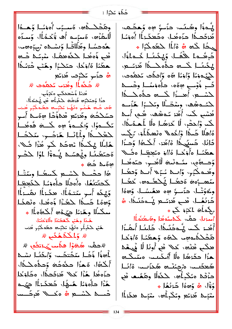حُكْمَوْ حُكِرًا 1

وهَٰבۡكَـــدُ٥، هَمــرَ، أُهوۡـُــل وَحَـــهُل لَّامِكْزُهِ: هُمِيَّمِكَ أُفْ قُكْدُمَّاً!: وُمِعِلَّاهِ حَدُدسُا وهَٰكَااتُنَا وَيَسْتَدَاه مْنِ وَجِوَاءَ بِ هْبِ وَْوِهُمَا لِحَدَّوهِمَا. سْبِئَ£ شَرَه حكَمُا هَاوْكُا، حَمْلَهُ! وَهَمْ ذُبِّدُاْ!  $\stackrel{*}{\bullet}$  حَنَّى ٱلْإِصا هَٰذِكُمْ *®* حُذُّه أُل وهُن، كَدهُه @ هُنئا فُسْعدكَبِ مَكَبُفَبٍ.<br>حزَّا وُحمَكَبُه فَنِمُهَ حَكَيلُه هُي هُحمَّلًا. هُت حُـــهِ هُنئُـــ مَنْهُــ: كَثَبْـــهِ حَمّــمَكْبُرِ هُـــْت حمّٰلحُثه وهُٰٓئِم مُحدُّوَٰٓئًا ہوَہٗے اُ٘۔ بُكُــوُواْ: وَاخُــوفُ وہ كُـــوٰ قُومُــا لحفْكساً ولْمَإِنْسا هَزْدُسِ، مَكْدُلا هَامُلَا لِكُماً ءُ5كُمْ كُمْ قُرًْا شَلاء هُحمّعُنُا وهُعمًــه هُـوةًا اوُا حدَّــو ∻ ఈ⊃ీ ఓంఠ ِ كَحِنۡتِنُهُا ۚ وَأُوحُلا حَارُوۡنُـا كَـكَعۡعَـا ۖ وَّلِيكَه أَسرِ مَمْتَـهُ أَلَّ هَكَـٰٓ; أَلَّا نَقَسَۃٍ أَل وُهِهُمْ ضَبْكُل حَعْنُوْل وُهِ هُجِلْنِ وَتَعَجُّل معكَّدُلا وهَنَّ لا يَحْمِدُ الْمُدْهَرَ الْمُحْمَدَ هَمِنُا وهُبْي كَمْعَكْنُا هِلْلْوَكْنُنَا. هَبْ لِلَهُمْرِ وَلَهُمْ مُلْهُدِهِ حَقَّهُكُمْ هُنِ & LILLES هدمة: هُجَوْا هِهُمبِ حَاتِضُ هُ ـأهوأ وَّحُــا مَكْتَحَـــــ. وَٰامِكْنُــا نِسْــد أَكْتَرَا، هَمْزَا حِدْمَحُة وَحِدُّهِكُمَا. حزَّہ هُل هُزْا کَلا هُزکَحکُل ہحَافِکا هُزْا حاهُوْمُا هُيهُا. كَعكَرْلًا كَبِ 

لْمَوْا وِهُنْفٌ، جَزْمَةٍ وَهِ وَهَجُمِهِ، هُزِكُحِــدًا حَزَوهُــا. وحَعجَـذِ أَا أُوزِيَـا مَا كَمْ هَمْ الْمَ أَوْ أَمْ لَكُمْ وَالْمُسْرِ كُرِهُــوا ۞هُـُـا، وَٰلِحُبُـا حُــواٰوُا، لِمَسْا كْـــه حِذْهِكِــدُا هُزِيَـــمِ. لِحَيُّدِنُا وَّانُوْمًا هُو وَّاصِلُّ مُحَمَّدت. كُسِرٍ وُٰوْسِي 300، حالُهوْمُسَا وحُسِيا لحنسون أهسأا لكسره حذفكما لكندهْف. ومْتّْلًا ويُكْرًا هُزّْب هُشم گُد، اُهُز سُمهُد، هُـم أَسل لَكُب وْ/حصّْرٍ: لَا كَرْهُا ولَا لِمُحَمَّدُا: هُ/هَلَا حَيْدًا وْ/جُمِلا هِ نَعْمَلَهُ: رَجَّب دَّائِل حَسيُ هُل هُ/هَٰ: أَكْـ هُل وَحـزُل هعَنْــا هُأَوْحُــا هُ/أو مصْحِبْـا مثَـــلا وٌحـــ«٥٥، منْـــەنْمە لْاهُــــو، حمّەهُـــا وهَــدكبُرِ. وَٱلــدْ يُـبِّدْ أَلـدْ وَحِعْــا مَعصبُه، هَدهُــا مُكعَـُــه». كَعُــا وِهُوُتْبًا: حَزَّىبُ ۞ هِمْسُمًا: وَ۞ أَ ضَرْبُهُــا. هُبِ هَٰـزِيَــمِ لِمُــوصُبُمُا. قُ إبكه أه لمكبره لكب \* أمزلل حقَّ، كَلِمْمُوهُا وِهَمْعُلُمْ أَ أَهَٰذِ جُبِ إِنَّ وَيُتَمَالُ وَاسُلِ أَيضُوُّا هَضْحُمُمومِ حَمَّى وَحِعَمُهُ وَاوْحُهُ هَلْمُ هَنْدُهِ. كَمَلا هُمْ أُونُا لَمْا فَيَهْدُ هزُا حَجَّزَهُا وَلَا أَٱمْكِنِبَ وَمُمَكَّدِهِ ھُعدَّىب، ەَرجىْسُـ ھُجزَىب، ەَائْسا دَٰزْهُمْ مَكْرِ}ُ10. حَكْمُلًا وهُمَّىم مْع  $\bullet$  وَوَّا: ﴿ وَهِيَ أَمْرَاطَ الْمَرْسُلُ مْبَرْما هُنْكُمْ وِمُكْرِلُمْهِ. مْبَرْما هَذَا